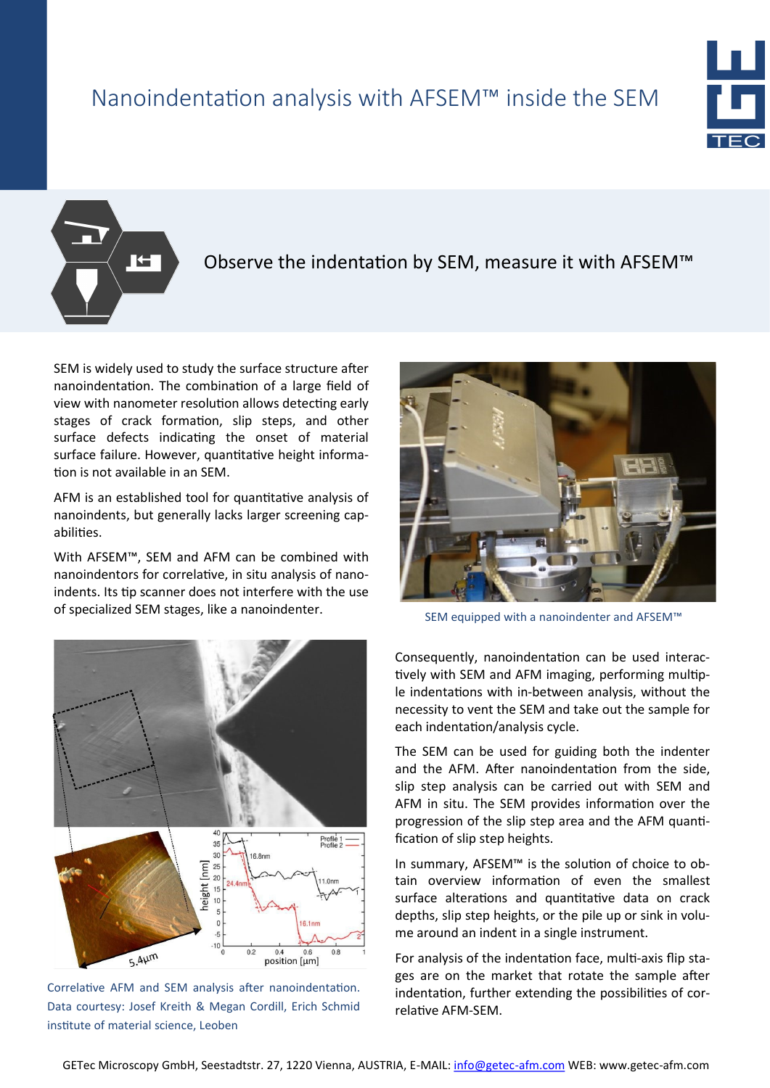### Nanoindentation analysis with AFSEM™ inside the SEM



**TH** 

#### Observe the indentation by SEM, measure it with AFSEM™

SEM is widely used to study the surface structure after nanoindentation. The combination of a large field of view with nanometer resolution allows detecting early stages of crack formation, slip steps, and other surface defects indicating the onset of material surface failure. However, quantitative height information is not available in an SEM.

AFM is an established tool for quantitative analysis of nanoindents, but generally lacks larger screening capabilities.

With AFSEM™, SEM and AFM can be combined with nanoindentors for correlative, in situ analysis of nanoindents. Its tip scanner does not interfere with the use of specialized SEM stages, like a nanoindenter.



Correlative AFM and SEM analysis after nanoindentation. Data courtesy: Josef Kreith & Megan Cordill, Erich Schmid institute of material science, Leoben



SEM equipped with a nanoindenter and AFSEM™

Consequently, nanoindentation can be used interactively with SEM and AFM imaging, performing multiple indentations with in-between analysis, without the necessity to vent the SEM and take out the sample for each indentation/analysis cycle.

The SEM can be used for guiding both the indenter and the AFM. After nanoindentation from the side, slip step analysis can be carried out with SEM and AFM in situ. The SEM provides information over the progression of the slip step area and the AFM quantification of slip step heights.

In summary, AFSEM™ is the solution of choice to obtain overview information of even the smallest surface alterations and quantitative data on crack depths, slip step heights, or the pile up or sink in volume around an indent in a single instrument.

For analysis of the indentation face, multi-axis flip stages are on the market that rotate the sample after indentation, further extending the possibilities of correlative AFM-SEM.